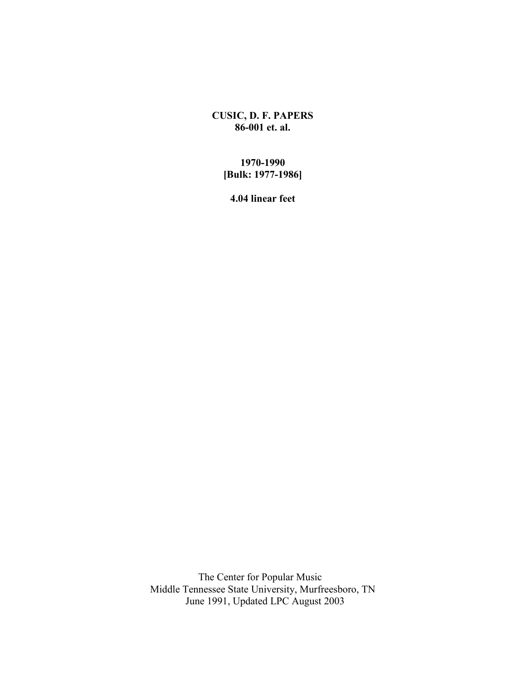**CUSIC, D. F. PAPERS 86-001 et. al.**

## **1970-1990 [Bulk: 1977-1986]**

**4.04 linear feet**

 The Center for Popular Music Middle Tennessee State University, Murfreesboro, TN June 1991, Updated LPC August 2003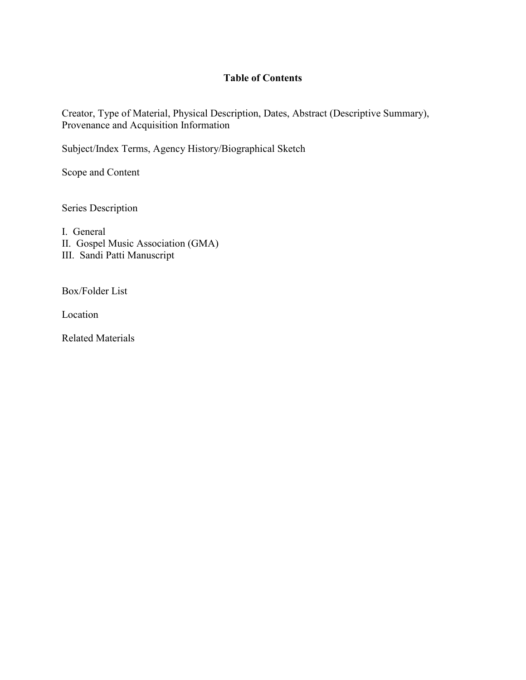## **Table of Contents**

Creator, Type of Material, Physical Description, Dates, Abstract (Descriptive Summary), Provenance and Acquisition Information

Subject/Index Terms, Agency History/Biographical Sketch

Scope and Content

Series Description

I. General II. Gospel Music Association (GMA) III. Sandi Patti Manuscript

Box/Folder List

Location

Related Materials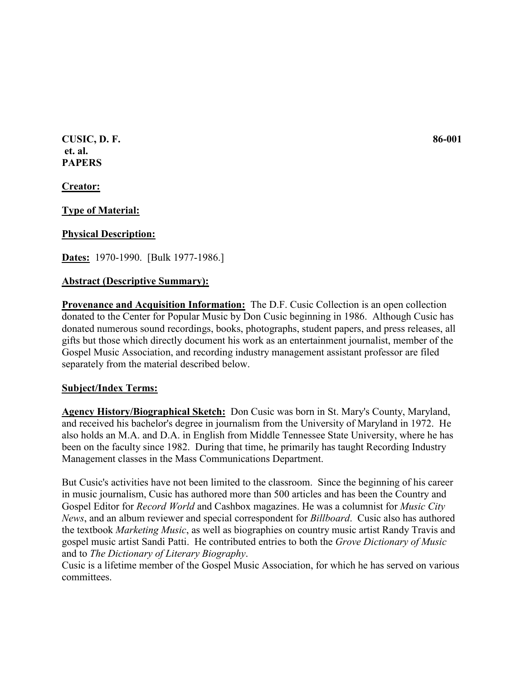**CUSIC, D. F. 86-001 et. al. PAPERS**

**Creator:**

**Type of Material:**

## **Physical Description:**

**Dates:** 1970-1990. [Bulk 1977-1986.]

### **Abstract (Descriptive Summary):**

**Provenance and Acquisition Information:** The D.F. Cusic Collection is an open collection donated to the Center for Popular Music by Don Cusic beginning in 1986. Although Cusic has donated numerous sound recordings, books, photographs, student papers, and press releases, all gifts but those which directly document his work as an entertainment journalist, member of the Gospel Music Association, and recording industry management assistant professor are filed separately from the material described below.

### **Subject/Index Terms:**

**Agency History/Biographical Sketch:** Don Cusic was born in St. Mary's County, Maryland, and received his bachelor's degree in journalism from the University of Maryland in 1972. He also holds an M.A. and D.A. in English from Middle Tennessee State University, where he has been on the faculty since 1982. During that time, he primarily has taught Recording Industry Management classes in the Mass Communications Department.

But Cusic's activities have not been limited to the classroom. Since the beginning of his career in music journalism, Cusic has authored more than 500 articles and has been the Country and Gospel Editor for *Record World* and Cashbox magazines. He was a columnist for *Music City News*, and an album reviewer and special correspondent for *Billboard*. Cusic also has authored the textbook *Marketing Music*, as well as biographies on country music artist Randy Travis and gospel music artist Sandi Patti. He contributed entries to both the *Grove Dictionary of Music* and to *The Dictionary of Literary Biography*.

Cusic is a lifetime member of the Gospel Music Association, for which he has served on various committees.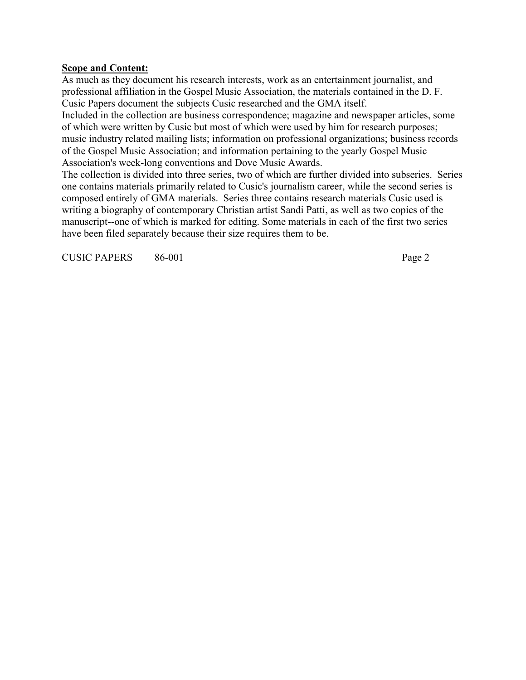## **Scope and Content:**

As much as they document his research interests, work as an entertainment journalist, and professional affiliation in the Gospel Music Association, the materials contained in the D. F. Cusic Papers document the subjects Cusic researched and the GMA itself.

Included in the collection are business correspondence; magazine and newspaper articles, some of which were written by Cusic but most of which were used by him for research purposes; music industry related mailing lists; information on professional organizations; business records of the Gospel Music Association; and information pertaining to the yearly Gospel Music Association's week-long conventions and Dove Music Awards.

The collection is divided into three series, two of which are further divided into subseries. Series one contains materials primarily related to Cusic's journalism career, while the second series is composed entirely of GMA materials. Series three contains research materials Cusic used is writing a biography of contemporary Christian artist Sandi Patti, as well as two copies of the manuscript--one of which is marked for editing. Some materials in each of the first two series have been filed separately because their size requires them to be.

CUSIC PAPERS 86-001 Page 2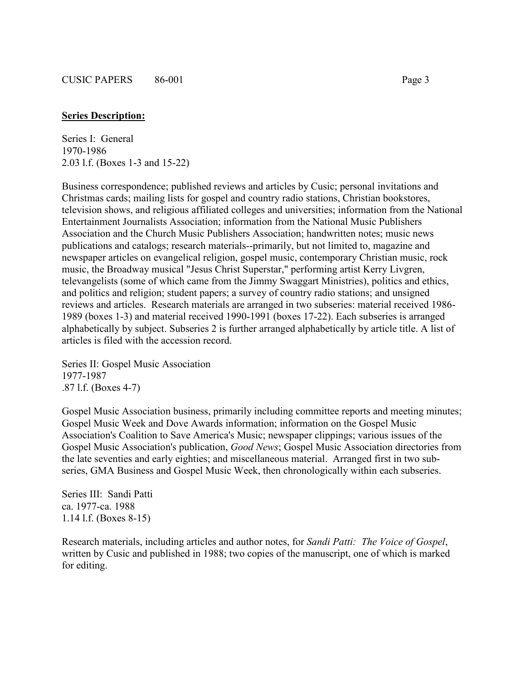### **Series Description:**

Series I: General 1970-1986 2.03 l.f. (Boxes 1-3 and 15-22)

Business correspondence; published reviews and articles by Cusic; personal invitations and Christmas cards; mailing lists for gospel and country radio stations, Christian bookstores, television shows, and religious affiliated colleges and universities; information from the National Entertainment Journalists Association; information from the National Music Publishers Association and the Church Music Publishers Association; handwritten notes; music news publications and catalogs; research materials--primarily, but not limited to, magazine and newspaper articles on evangelical religion, gospel music, contemporary Christian music, rock music, the Broadway musical "Jesus Christ Superstar," performing artist Kerry Livgren, televangelists (some of which came from the Jimmy Swaggart Ministries), politics and ethics, and politics and religion; student papers; a survey of country radio stations; and unsigned reviews and articles. Research materials are arranged in two subseries: material received 1986- 1989 (boxes 1-3) and material received 1990-1991 (boxes 17-22). Each subseries is arranged alphabetically by subject. Subseries 2 is further arranged alphabetically by article title. A list of articles is filed with the accession record.

Series II: Gospel Music Association 1977-1987 .87 l.f. (Boxes 4-7)

Gospel Music Association business, primarily including committee reports and meeting minutes; Gospel Music Week and Dove Awards information; information on the Gospel Music Association's Coalition to Save America's Music; newspaper clippings; various issues of the Gospel Music Association's publication, *Good News*; Gospel Music Association directories from the late seventies and early eighties; and miscellaneous material. Arranged first in two subseries, GMA Business and Gospel Music Week, then chronologically within each subseries.

Series III: Sandi Patti ca. 1977-ca. 1988 1.14 l.f. (Boxes 8-15)

Research materials, including articles and author notes, for *Sandi Patti: The Voice of Gospel*, written by Cusic and published in 1988; two copies of the manuscript, one of which is marked for editing.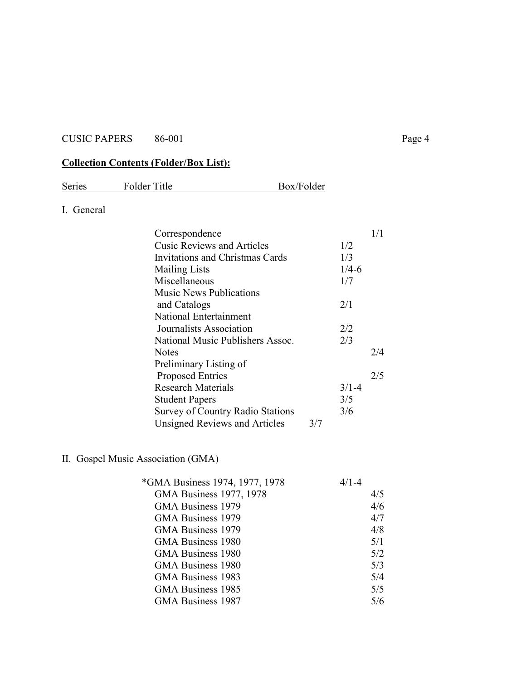# **Collection Contents (Folder/Box List):**

| Series     | Folder Title                           | Box/Folder                              |           |     |
|------------|----------------------------------------|-----------------------------------------|-----------|-----|
| I. General |                                        |                                         |           |     |
|            | Correspondence                         |                                         |           | 1/1 |
|            | <b>Cusic Reviews and Articles</b>      |                                         | 1/2       |     |
|            | <b>Invitations and Christmas Cards</b> |                                         | 1/3       |     |
|            | <b>Mailing Lists</b>                   |                                         | $1/4 - 6$ |     |
|            | Miscellaneous                          |                                         | 1/7       |     |
|            | <b>Music News Publications</b>         |                                         |           |     |
|            | and Catalogs                           |                                         | 2/1       |     |
|            | National Entertainment                 |                                         |           |     |
|            | Journalists Association                |                                         | 2/2       |     |
|            |                                        | National Music Publishers Assoc.        | 2/3       |     |
|            | <b>Notes</b>                           |                                         |           | 2/4 |
|            | Preliminary Listing of                 |                                         |           |     |
|            | <b>Proposed Entries</b>                |                                         |           | 2/5 |
|            | <b>Research Materials</b>              |                                         | $3/1-4$   |     |
|            | <b>Student Papers</b>                  |                                         | 3/5       |     |
|            |                                        | <b>Survey of Country Radio Stations</b> | 3/6       |     |
|            | <b>Unsigned Reviews and Articles</b>   | 3/7                                     |           |     |

## II. Gospel Music Association (GMA)

| *GMA Business 1974, 1977, 1978 | $4/1 - 4$ |
|--------------------------------|-----------|
| GMA Business 1977, 1978        | 4/5       |
| GMA Business 1979              | 4/6       |
| GMA Business 1979              | 4/7       |
| GMA Business 1979              | 4/8       |
| GMA Business 1980              | 5/1       |
| <b>GMA Business 1980</b>       | 5/2       |
| <b>GMA Business 1980</b>       | 5/3       |
| GMA Business 1983              | 5/4       |
| GMA Business 1985              | 5/5       |
| <b>GMA Business 1987</b>       | 5/6       |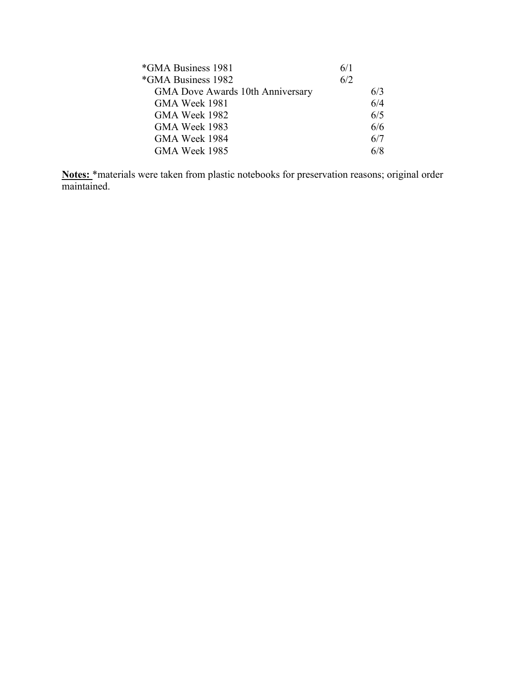| 6/1 |     |
|-----|-----|
| 6/2 |     |
|     | 6/3 |
|     | 6/4 |
|     | 6/5 |
|     | 6/6 |
|     | 6/7 |
|     | 6/8 |
|     |     |

**Notes:** \*materials were taken from plastic notebooks for preservation reasons; original order maintained.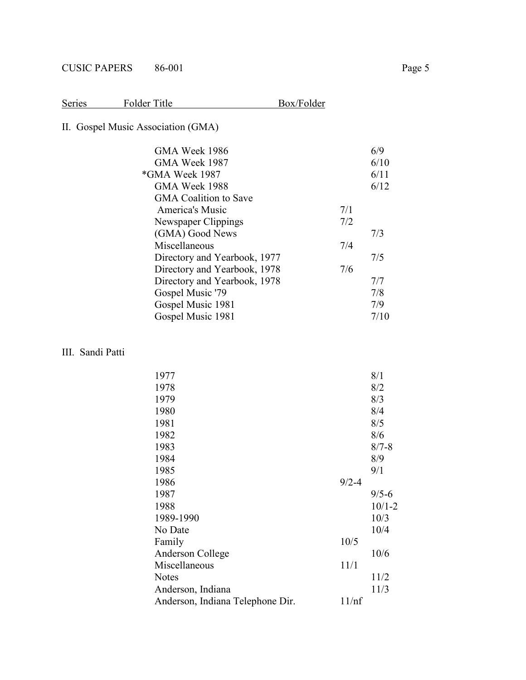| Series | Folder Title | Box/Folder |
|--------|--------------|------------|
|        |              |            |

# II. Gospel Music Association (GMA)

|     | 6/9  |
|-----|------|
|     | 6/10 |
|     | 6/11 |
|     | 6/12 |
|     |      |
| 7/1 |      |
| 7/2 |      |
|     | 7/3  |
| 7/4 |      |
|     | 7/5  |
| 7/6 |      |
|     | 7/7  |
|     | 7/8  |
|     | 7/9  |
|     | 7/10 |
|     |      |

## III. Sandi Patti

| 1977                             |           | 8/1        |
|----------------------------------|-----------|------------|
| 1978                             |           | 8/2        |
| 1979                             |           | 8/3        |
| 1980                             |           | 8/4        |
| 1981                             |           | 8/5        |
| 1982                             |           | 8/6        |
| 1983                             |           | $8/7 - 8$  |
| 1984                             |           | 8/9        |
| 1985                             |           | 9/1        |
| 1986                             | $9/2 - 4$ |            |
| 1987                             |           | $9/5 - 6$  |
| 1988                             |           | $10/1 - 2$ |
| 1989-1990                        |           | 10/3       |
| No Date                          |           | 10/4       |
| Family                           | 10/5      |            |
| Anderson College                 |           | 10/6       |
| Miscellaneous                    | 11/1      |            |
| <b>Notes</b>                     |           | 11/2       |
| Anderson, Indiana                |           | 11/3       |
| Anderson, Indiana Telephone Dir. | 11/nf     |            |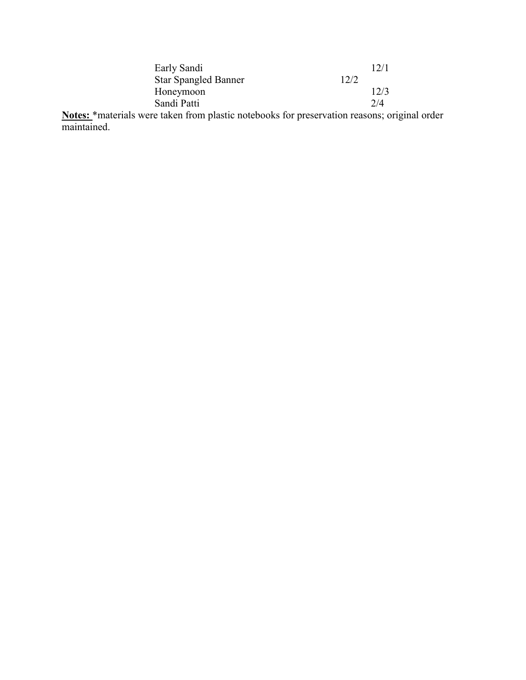| Early Sandi                 |      |      |
|-----------------------------|------|------|
| <b>Star Spangled Banner</b> | 12/2 |      |
| Honeymoon                   |      | 12/3 |
| Sandi Patti                 |      | 2/4  |
|                             |      |      |

**Notes:** \*materials were taken from plastic notebooks for preservation reasons; original order maintained.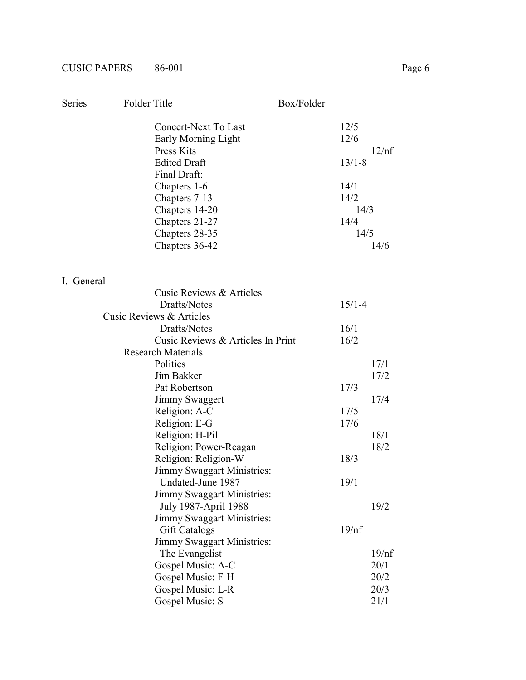| Series     | Folder Title                      | Box/Folder |
|------------|-----------------------------------|------------|
|            |                                   |            |
|            | Concert-Next To Last              | 12/5       |
|            | Early Morning Light               | 12/6       |
|            | Press Kits                        | 12/nf      |
|            | <b>Edited Draft</b>               | $13/1 - 8$ |
|            | Final Draft:                      |            |
|            | Chapters 1-6                      | 14/1       |
|            | Chapters 7-13                     | 14/2       |
|            | Chapters 14-20                    | 14/3       |
|            | Chapters 21-27                    | 14/4       |
|            | Chapters 28-35                    | 14/5       |
|            | Chapters 36-42                    | 14/6       |
| I. General |                                   |            |
|            | Cusic Reviews & Articles          |            |
|            | Drafts/Notes                      | $15/1 - 4$ |
|            | Cusic Reviews & Articles          |            |
|            | Drafts/Notes                      | 16/1       |
|            | Cusic Reviews & Articles In Print | 16/2       |
|            | <b>Research Materials</b>         |            |
|            | Politics                          | 17/1       |
|            | Jim Bakker                        | 17/2       |
|            | Pat Robertson                     | 17/3       |
|            | Jimmy Swaggert                    | 17/4       |
|            | Religion: A-C                     | 17/5       |
|            | Religion: E-G                     | 17/6       |
|            | Religion: H-Pil                   | 18/1       |
|            | Religion: Power-Reagan            | 18/2       |
|            | Religion: Religion-W              | 18/3       |
|            | <b>Jimmy Swaggart Ministries:</b> |            |
|            | Undated-June 1987                 | 19/1       |
|            | Jimmy Swaggart Ministries:        |            |
|            | July 1987-April 1988              | 19/2       |
|            | <b>Jimmy Swaggart Ministries:</b> |            |
|            | <b>Gift Catalogs</b>              | 19/nf      |
|            | <b>Jimmy Swaggart Ministries:</b> |            |
|            | The Evangelist                    | 19/nf      |
|            | Gospel Music: A-C                 | 20/1       |
|            | Gospel Music: F-H                 | 20/2       |
|            | Gospel Music: L-R                 | 20/3       |
|            | Gospel Music: S                   | 21/1       |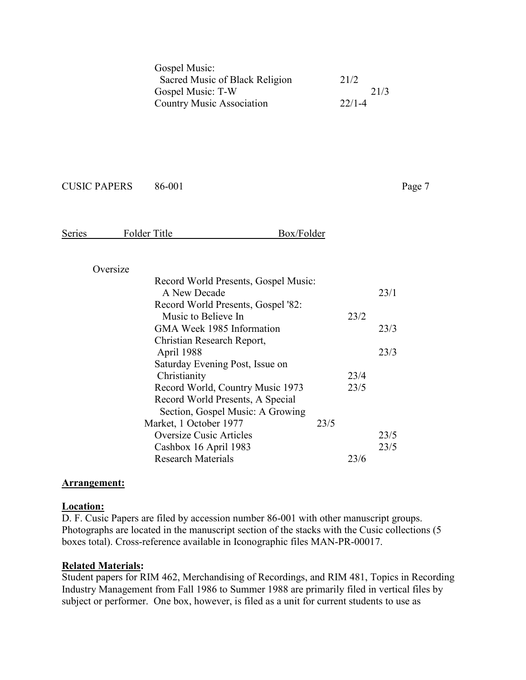| Gospel Music:                    |            |
|----------------------------------|------------|
| Sacred Music of Black Religion   | 21/2       |
| Gospel Music: T-W                | 21/3       |
| <b>Country Music Association</b> | $22/1 - 4$ |

| <b>Series</b> | Folder Title | Box/Folder |
|---------------|--------------|------------|
|               |              |            |

## Oversize

| Record World Presents, Gospel Music: |      |      |      |
|--------------------------------------|------|------|------|
| A New Decade                         |      |      | 23/1 |
| Record World Presents, Gospel '82:   |      |      |      |
| Music to Believe In                  |      | 23/2 |      |
| GMA Week 1985 Information            |      |      | 23/3 |
| Christian Research Report,           |      |      |      |
| April 1988                           |      |      | 23/3 |
| Saturday Evening Post, Issue on      |      |      |      |
| Christianity                         |      | 23/4 |      |
| Record World, Country Music 1973     |      | 23/5 |      |
| Record World Presents, A Special     |      |      |      |
| Section, Gospel Music: A Growing     |      |      |      |
| Market, 1 October 1977               | 23/5 |      |      |
| <b>Oversize Cusic Articles</b>       |      |      | 23/5 |
| Cashbox 16 April 1983                |      |      | 23/5 |
| <b>Research Materials</b>            |      | 23/6 |      |
|                                      |      |      |      |

### **Arrangement:**

### **Location:**

D. F. Cusic Papers are filed by accession number 86-001 with other manuscript groups. Photographs are located in the manuscript section of the stacks with the Cusic collections (5 boxes total). Cross-reference available in Iconographic files MAN-PR-00017.

## **Related Materials:**

Student papers for RIM 462, Merchandising of Recordings, and RIM 481, Topics in Recording Industry Management from Fall 1986 to Summer 1988 are primarily filed in vertical files by subject or performer. One box, however, is filed as a unit for current students to use as